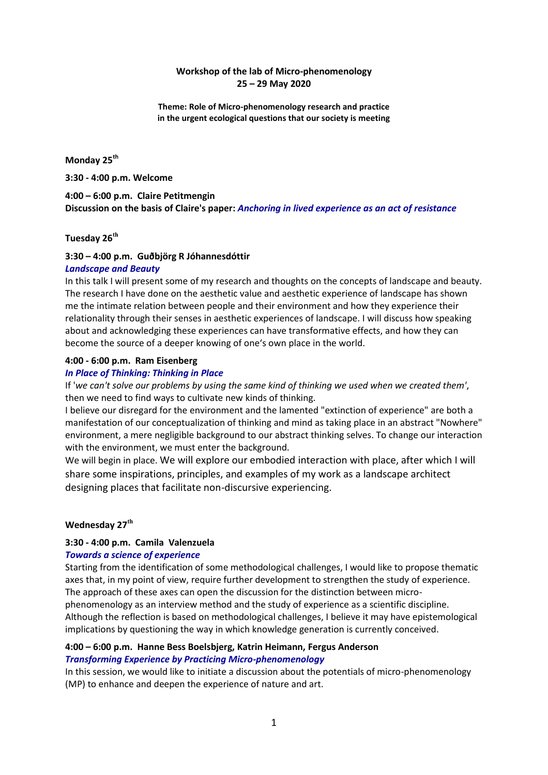## **Workshop of the lab of Micro-phenomenology 25 – 29 May 2020**

**Theme: Role of Micro-phenomenology research and practice in the urgent ecological questions that our society is meeting**

## **Monday 25th**

**3:30 - 4:00 p.m. Welcome**

## **4:00 – 6:00 p.m. Claire Petitmengin Discussion on the basis of Claire's paper:** *Anchoring in lived experience as an act of resistance*

## **Tuesday 26th**

# **3:30 – 4:00 p.m. Guðbjörg R Jóhannesdóttir**

## *Landscape and Beauty*

In this talk I will present some of my research and thoughts on the concepts of landscape and beauty. The research I have done on the aesthetic value and aesthetic experience of landscape has shown me the intimate relation between people and their environment and how they experience their relationality through their senses in aesthetic experiences of landscape. I will discuss how speaking about and acknowledging these experiences can have transformative effects, and how they can become the source of a deeper knowing of one's own place in the world.

#### **4:00 - 6:00 p.m. Ram Eisenberg**

## *In Place of Thinking: Thinking in Place*

If '*we can't solve our problems by using the same kind of thinking we used when we created them'*, then we need to find ways to cultivate new kinds of thinking.

I believe our disregard for the environment and the lamented "extinction of experience" are both a manifestation of our conceptualization of thinking and mind as taking place in an abstract "Nowhere" environment, a mere negligible background to our abstract thinking selves. To change our interaction with the environment, we must enter the background.

We will begin in place. We will explore our embodied interaction with place, after which I will share some inspirations, principles, and examples of my work as a landscape architect designing places that facilitate non-discursive experiencing.

## **Wednesday 27th**

## **3:30 - 4:00 p.m. Camila Valenzuela**

## *Towards a science of experience*

Starting from the identification of some methodological challenges, I would like to propose thematic axes that, in my point of view, require further development to strengthen the study of experience. The approach of these axes can open the discussion for the distinction between microphenomenology as an interview method and the study of experience as a scientific discipline. Although the reflection is based on methodological challenges, I believe it may have epistemological implications by questioning the way in which knowledge generation is currently conceived.

## **4:00 – 6:00 p.m. Hanne Bess Boelsbjerg, Katrin Heimann, Fergus Anderson** *Transforming Experience by Practicing Micro-phenomenology*

In this session, we would like to initiate a discussion about the potentials of micro-phenomenology (MP) to enhance and deepen the experience of nature and art.